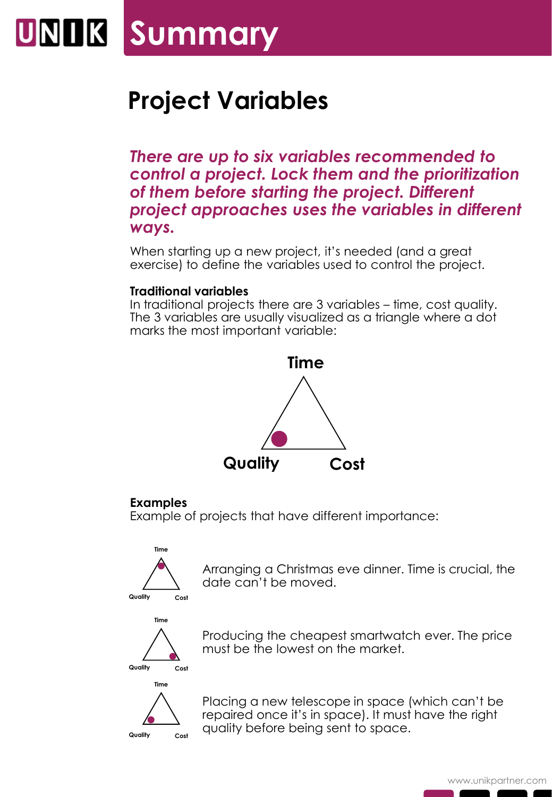### UNIK **Summary**

### **Project Variables**

*There are up to six variables recommended to control a project. Lock them and the prioritization of them before starting the project. Different project approaches uses the variables in different ways.*

When starting up a new project, it's needed (and a great exercise) to define the variables used to control the project.

### **Traditional variables**

In traditional projects there are 3 variables – time, cost quality. The 3 variables are usually visualized as a triangle where a dot marks the most important variable:



#### **Examples**

Example of projects that have different importance:



Arranging a Christmas eve dinner. Time is crucial, the date can't be moved.



**Time**

**Quality Cost**

Producing the cheapest smartwatch ever. The price must be the lowest on the market.

Placing a new telescope in space (which can't be repaired once it's in space). It must have the right quality before being sent to space.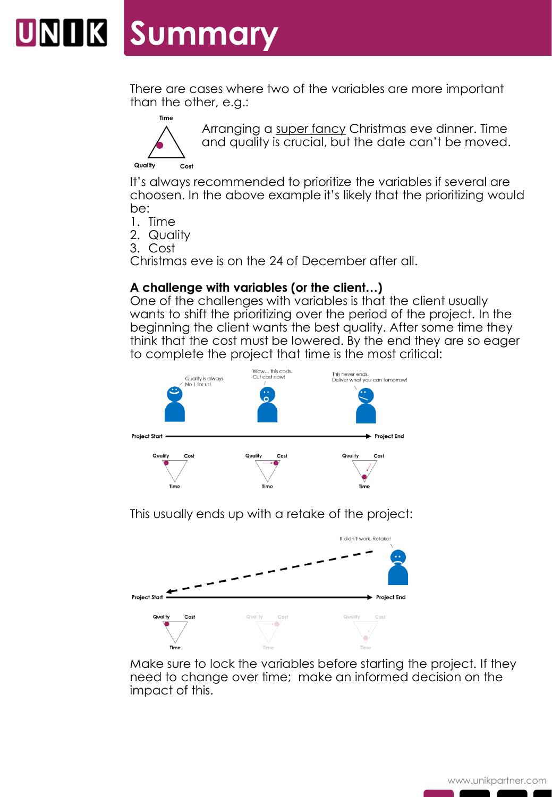## **UNIK Summary**

There are cases where two of the variables are more important than the other, e.g.:



Arranging a super fancy Christmas eve dinner. Time and quality is crucial, but the date can't be moved.

It's always recommended to prioritize the variables if several are choosen. In the above example it's likely that the prioritizing would be:

1. Time

2. Quality

3. Cost

Christmas eve is on the 24 of December after all.

### **A challenge with variables (or the client…)**

One of the challenges with variables is that the client usually wants to shift the prioritizing over the period of the project. In the beginning the client wants the best quality. After some time they think that the cost must be lowered. By the end they are so eager to complete the project that time is the most critical:



This usually ends up with a retake of the project:



Make sure to lock the variables before starting the project. If they need to change over time; make an informed decision on the impact of this.